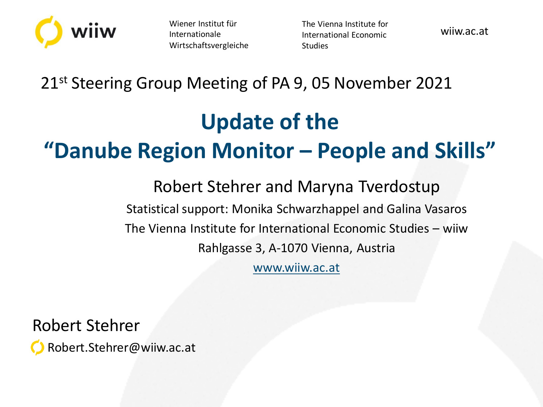

Wiener Institut für Internationale Wirtschaftsvergleiche The Vienna Institute for International Economic Studies

wiiw.ac.at

#### 21<sup>st</sup> Steering Group Meeting of PA 9, 05 November 2021

# **Update of the "Danube Region Monitor – People and Skills"**

Robert Stehrer and Maryna Tverdostup Statistical support: Monika Schwarzhappel and Galina Vasaros The Vienna Institute for International Economic Studies – wiiw Rahlgasse 3, A-1070 Vienna, Austria

[www.wiiw.ac.at](http://www.wiiw.ac.at/)

Robert Stehrer

Robert.Stehrer@wiiw.ac.at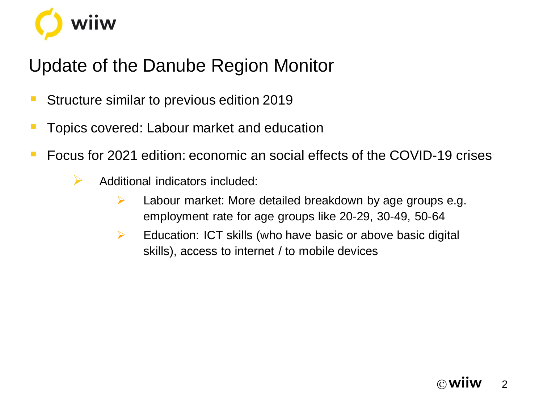

# Update of the Danube Region Monitor

- **E** Structure similar to previous edition 2019
- **Termich Topics covered: Labour market and education**
- Focus for 2021 edition: economic an social effects of the COVID-19 crises
	- $\triangleright$  Additional indicators included:
		- ➢ Labour market: More detailed breakdown by age groups e.g. employment rate for age groups like 20-29, 30-49, 50-64
		- $\triangleright$  Education: ICT skills (who have basic or above basic digital skills), access to internet / to mobile devices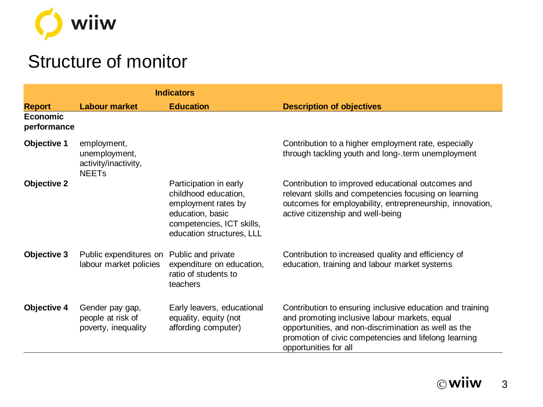

### Structure of monitor

|                                |                                                                                 | <b>Indicators</b>                                                                                                                                   |                                                                                                                                                                                                                                                      |
|--------------------------------|---------------------------------------------------------------------------------|-----------------------------------------------------------------------------------------------------------------------------------------------------|------------------------------------------------------------------------------------------------------------------------------------------------------------------------------------------------------------------------------------------------------|
| <b>Report</b>                  | <b>Labour market</b>                                                            | <b>Education</b>                                                                                                                                    | <b>Description of objectives</b>                                                                                                                                                                                                                     |
| <b>Economic</b><br>performance |                                                                                 |                                                                                                                                                     |                                                                                                                                                                                                                                                      |
| <b>Objective 1</b>             | employment,<br>unemployment,<br>activity/inactivity,<br><b>NEET<sub>s</sub></b> |                                                                                                                                                     | Contribution to a higher employment rate, especially<br>through tackling youth and long-.term unemployment                                                                                                                                           |
| <b>Objective 2</b>             |                                                                                 | Participation in early<br>childhood education,<br>employment rates by<br>education, basic<br>competencies, ICT skills,<br>education structures, LLL | Contribution to improved educational outcomes and<br>relevant skills and competencies focusing on learning<br>outcomes for employability, entrepreneurship, innovation,<br>active citizenship and well-being                                         |
| <b>Objective 3</b>             | Public expenditures on<br>labour market policies                                | Public and private<br>expenditure on education,<br>ratio of students to<br>teachers                                                                 | Contribution to increased quality and efficiency of<br>education, training and labour market systems                                                                                                                                                 |
| <b>Objective 4</b>             | Gender pay gap,<br>people at risk of<br>poverty, inequality                     | Early leavers, educational<br>equality, equity (not<br>affording computer)                                                                          | Contribution to ensuring inclusive education and training<br>and promoting inclusive labour markets, equal<br>opportunities, and non-discrimination as well as the<br>promotion of civic competencies and lifelong learning<br>opportunities for all |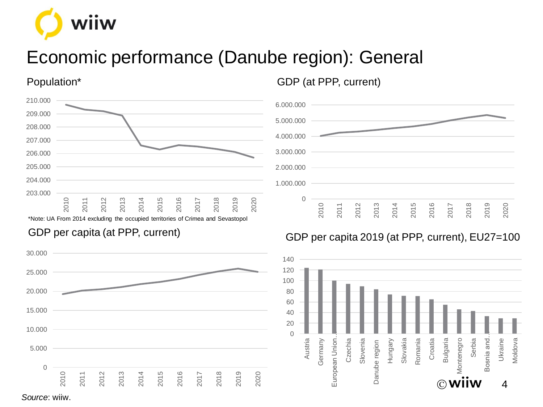

# Economic performance (Danube region): General

Population\*



\*Note: UA From 2014 excluding the occupied territories of Crimea and Sevastopol

#### GDP per capita (at PPP, current)



GDP (at PPP, current)



#### GDP per capita 2019 (at PPP, current), EU27=100



*Source*: wiiw.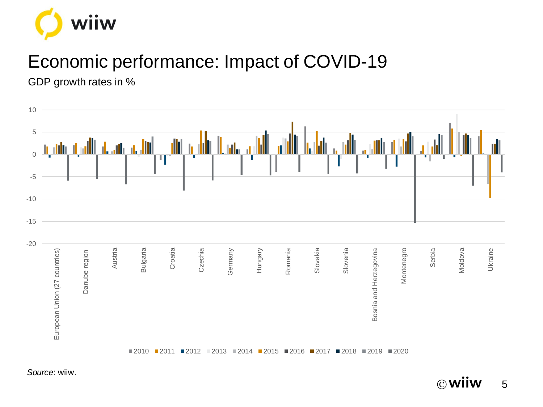

# Economic performance: Impact of COVID-19

GDP growth rates in %

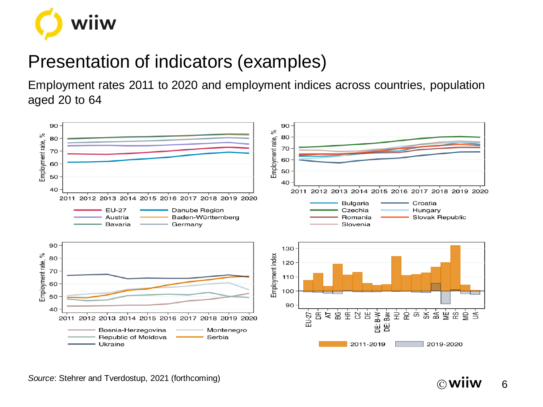

# Presentation of indicators (examples)

Employment rates 2011 to 2020 and employment indices across countries, population aged 20 to 64



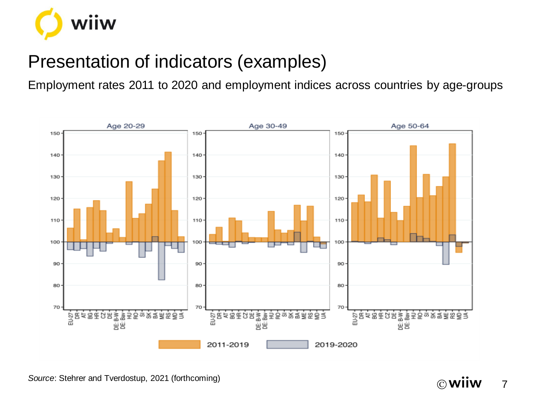

# Presentation of indicators (examples)

Employment rates 2011 to 2020 and employment indices across countries by age-groups

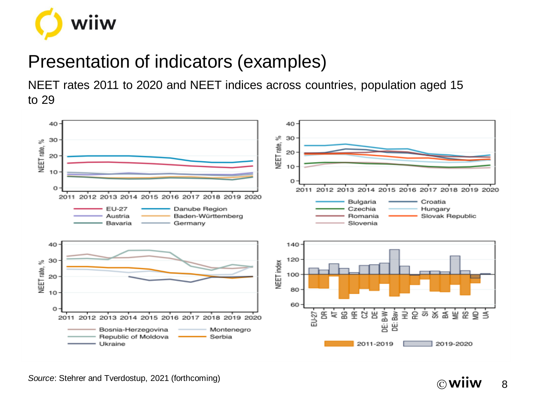

### Presentation of indicators (examples)

NEET rates 2011 to 2020 and NEET indices across countries, population aged 15 to 29



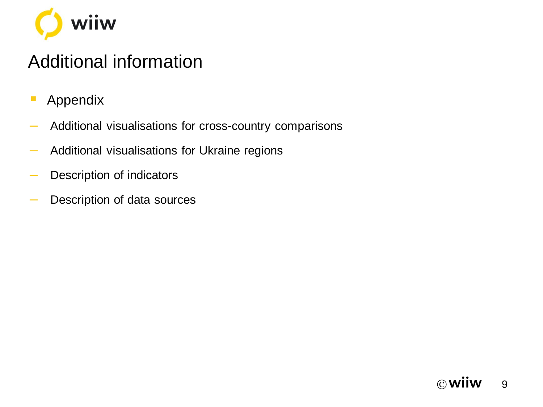

# Additional information

- **Appendix**
- ‒ Additional visualisations for cross-country comparisons
- ‒ Additional visualisations for Ukraine regions
- ‒ Description of indicators
- ‒ Description of data sources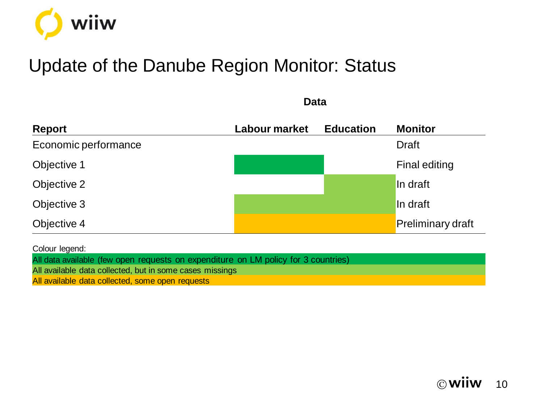

### Update of the Danube Region Monitor: Status

| <b>Report</b>        | Labour market | <b>Education</b> | <b>Monitor</b>           |
|----------------------|---------------|------------------|--------------------------|
| Economic performance |               |                  | <b>Draft</b>             |
| Objective 1          |               |                  | Final editing            |
| Objective 2          |               |                  | In draft                 |
| Objective 3          |               |                  | In draft                 |
| Objective 4          |               |                  | <b>Preliminary draft</b> |

**Data**

Colour legend:

All data available (few open requests on expenditure on LM policy for 3 countries)

All available data collected, but in some cases missings

All available data collected, some open requests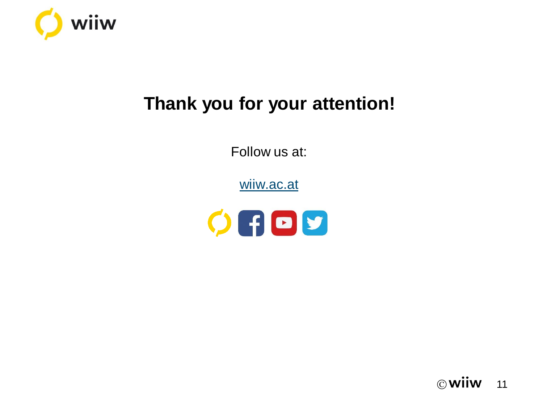

# **Thank you for your attention!**

Follow us at:

[wiiw.ac.at](http://www.wiiw.ac.at/)



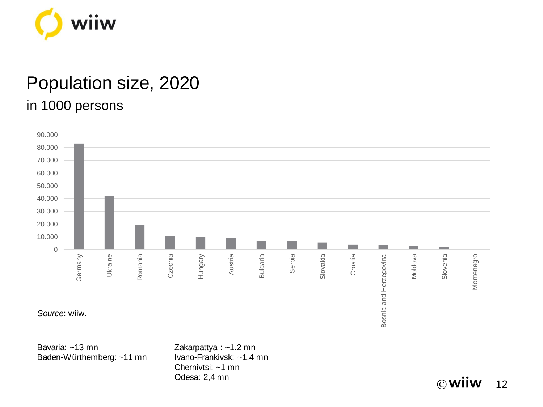

#### Population size, 2020 in 1000 persons



 $\circledcirc$  Wilw 12